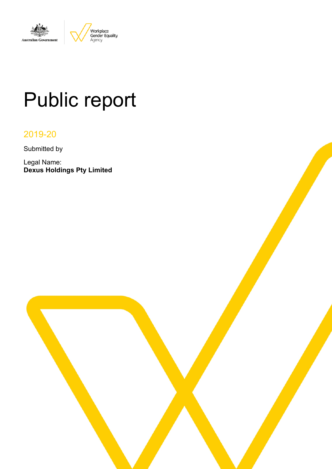

# Public report

### 2019-20

Submitted by

Legal Name: **Dexus Holdings Pty Limited**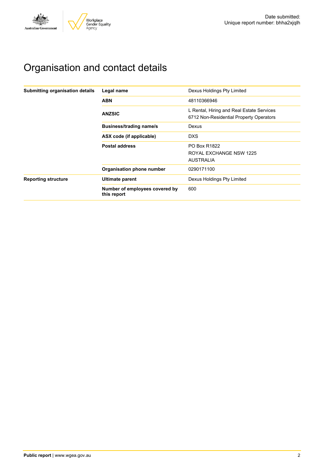

# Organisation and contact details

| Submitting organisation details | Legal name                                    | Dexus Holdings Pty Limited                                                           |
|---------------------------------|-----------------------------------------------|--------------------------------------------------------------------------------------|
|                                 | <b>ABN</b>                                    | 48110366946                                                                          |
|                                 | <b>ANZSIC</b>                                 | L Rental, Hiring and Real Estate Services<br>6712 Non-Residential Property Operators |
|                                 | <b>Business/trading name/s</b>                | Dexus                                                                                |
|                                 | ASX code (if applicable)                      | <b>DXS</b>                                                                           |
|                                 | <b>Postal address</b>                         | <b>PO Box R1822</b>                                                                  |
|                                 |                                               | ROYAL EXCHANGE NSW 1225                                                              |
|                                 |                                               | <b>AUSTRALIA</b>                                                                     |
|                                 | Organisation phone number                     | 0290171100                                                                           |
| <b>Reporting structure</b>      | <b>Ultimate parent</b>                        | Dexus Holdings Pty Limited                                                           |
|                                 | Number of employees covered by<br>this report | 600                                                                                  |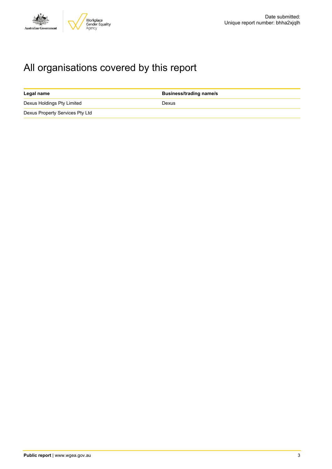

# All organisations covered by this report

| Legal name                      | <b>Business/trading name/s</b> |
|---------------------------------|--------------------------------|
| Dexus Holdings Pty Limited      | Dexus                          |
| Dexus Property Services Pty Ltd |                                |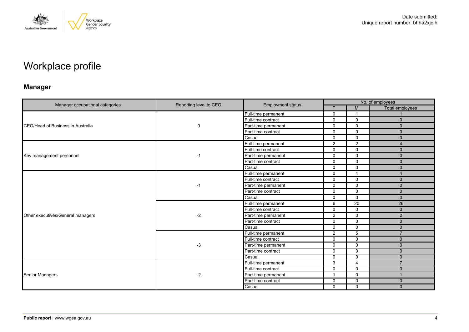

# Workplace profile

### **Manager**

|                                   |                        |                          | No. of employees         |                |                       |  |
|-----------------------------------|------------------------|--------------------------|--------------------------|----------------|-----------------------|--|
| Manager occupational categories   | Reporting level to CEO | <b>Employment status</b> | F.                       | M              | Total employees       |  |
|                                   |                        | Full-time permanent      | $\mathbf{0}$             | -1             |                       |  |
|                                   |                        | Full-time contract       | $\mathbf 0$              | $\Omega$       | $\mathbf{0}$          |  |
| CEO/Head of Business in Australia | 0                      | Part-time permanent      | $\Omega$                 | $\Omega$       | $\Omega$              |  |
|                                   |                        | Part-time contract       | $\mathbf{0}$             | $\Omega$       | $\mathbf{0}$          |  |
|                                   |                        | Casual                   | $\Omega$                 | $\Omega$       | $\Omega$              |  |
|                                   |                        | Full-time permanent      | $\overline{2}$           | $\overline{2}$ | $\overline{4}$        |  |
|                                   |                        | Full-time contract       | $\mathbf{0}$             | $\Omega$       | $\mathbf{0}$          |  |
| Key management personnel          | -1                     | Part-time permanent      | 0                        | 0              | $\mathbf{0}$          |  |
|                                   |                        | Part-time contract       | $\mathbf{0}$             | $\Omega$       | $\Omega$              |  |
|                                   |                        | Casual                   | $\mathbf 0$              | $\Omega$       | $\mathbf{0}$          |  |
|                                   |                        | Full-time permanent      | $\mathbf{0}$             | 4              | $\boldsymbol{\Delta}$ |  |
|                                   |                        | Full-time contract       | $\mathbf 0$              | $\Omega$       | $\mathbf{0}$          |  |
|                                   | -1                     | Part-time permanent      | $\mathbf{0}$             | $\Omega$       | $\Omega$              |  |
|                                   |                        | Part-time contract       | $\mathbf 0$              | $\Omega$       | $\mathbf{0}$          |  |
|                                   |                        | Casual                   | $\mathbf 0$              | $\Omega$       | $\Omega$              |  |
|                                   | -2                     | Full-time permanent      | 6                        | 20             | 26                    |  |
|                                   |                        | Full-time contract       | $\mathbf{0}$             | $\Omega$       | $\Omega$              |  |
| Other executives/General managers |                        | Part-time permanent      | 2                        | $\Omega$       | $\overline{2}$        |  |
|                                   |                        | Part-time contract       | $\Omega$                 | $\Omega$       | $\Omega$              |  |
|                                   |                        | Casual                   | $\mathbf 0$              | $\mathbf 0$    | $\mathbf{0}$          |  |
|                                   |                        | Full-time permanent      | 2                        | 5              | $\overline{7}$        |  |
|                                   |                        | Full-time contract       | $\Omega$                 | $\Omega$       | $\Omega$              |  |
|                                   | $-3$                   | Part-time permanent      | $\mathbf 0$              | $\Omega$       | $\mathbf{0}$          |  |
|                                   |                        | Part-time contract       | $\Omega$                 | $\Omega$       | $\Omega$              |  |
|                                   |                        | Casual                   | $\mathbf{0}$             | $\Omega$       | $\Omega$              |  |
|                                   |                        | Full-time permanent      | 3                        | 4              | $\overline{7}$        |  |
|                                   |                        | Full-time contract       | $\mathbf 0$              | $\Omega$       | $\mathbf{0}$          |  |
| Senior Managers                   | $-2$                   | Part-time permanent      | $\overline{\phantom{a}}$ | $\Omega$       | $\mathbf 1$           |  |
|                                   |                        | Part-time contract       | 0                        | $\Omega$       | $\mathbf{0}$          |  |
|                                   |                        | Casual                   | $\mathbf{0}$             | $\Omega$       | $\Omega$              |  |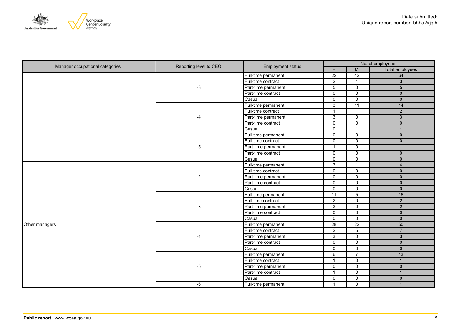

| Manager occupational categories | Reporting level to CEO | <b>Employment status</b> | No. of employees |                 |                        |  |
|---------------------------------|------------------------|--------------------------|------------------|-----------------|------------------------|--|
|                                 |                        |                          | F                | M               | <b>Total employees</b> |  |
|                                 |                        | Full-time permanent      | $\overline{22}$  | 42              | 64                     |  |
|                                 |                        | Full-time contract       | $\overline{2}$   | $\mathbf{1}$    | $\overline{3}$         |  |
|                                 | $-3$                   | Part-time permanent      | 5                | $\mathbf 0$     | 5                      |  |
|                                 |                        | Part-time contract       | $\mathbf 0$      | $\mathbf 0$     | $\mathbf{0}$           |  |
|                                 |                        | Casual                   | $\mathbf 0$      | $\mathbf 0$     | $\mathbf 0$            |  |
|                                 |                        | Full-time permanent      | $\overline{3}$   | $\overline{11}$ | 14                     |  |
|                                 |                        | Full-time contract       | $\overline{1}$   | $\mathbf{1}$    | $\overline{2}$         |  |
|                                 |                        | Part-time permanent      | $\overline{3}$   | $\mathsf 0$     | $\overline{3}$         |  |
|                                 |                        | Part-time contract       | $\mathbf 0$      | $\mathbf 0$     | $\mathbf 0$            |  |
|                                 |                        | Casual                   | $\mathsf{O}$     | $\mathbf{1}$    | $\overline{1}$         |  |
|                                 |                        | Full-time permanent      | 0                | $\mathbf 0$     | $\mathbf{0}$           |  |
|                                 |                        | Full-time contract       | $\mathsf{O}$     | $\mathbf 0$     | $\mathbf 0$            |  |
|                                 | -5                     | Part-time permanent      | $\overline{1}$   | $\mathsf 0$     | $\overline{1}$         |  |
|                                 |                        | Part-time contract       | $\mathbf 0$      | $\mathbf 0$     | $\mathbf{0}$           |  |
|                                 |                        | Casual                   | $\overline{0}$   | $\overline{0}$  | $\overline{0}$         |  |
|                                 | $-2$                   | Full-time permanent      | $\mathbf{3}$     | $\mathbf{1}$    | $\overline{4}$         |  |
|                                 |                        | Full-time contract       | $\overline{0}$   | $\mathbf 0$     | $\overline{0}$         |  |
|                                 |                        | Part-time permanent      | $\mathbf 0$      | $\mathbf 0$     | $\mathbf{0}$           |  |
|                                 |                        | Part-time contract       | $\overline{0}$   | $\overline{0}$  | $\overline{0}$         |  |
|                                 |                        | Casual                   | $\mathbf 0$      | $\mathbf 0$     | $\mathbf{0}$           |  |
|                                 | $-3$                   | Full-time permanent      | $\overline{11}$  | 5               | 16                     |  |
|                                 |                        | Full-time contract       | $\overline{2}$   | $\mathbf 0$     | $\overline{2}$         |  |
|                                 |                        | Part-time permanent      | $\overline{2}$   | $\mathbf 0$     | $\overline{2}$         |  |
|                                 |                        | Part-time contract       | $\mathbf 0$      | $\mathbf 0$     | $\pmb{0}$              |  |
|                                 |                        | Casual                   | $\mathbf 0$      | $\mathbf 0$     | $\mathbf 0$            |  |
| Other managers                  |                        | Full-time permanent      | $\overline{28}$  | $\overline{22}$ | 50                     |  |
|                                 |                        | Full-time contract       | $\overline{2}$   | 5               | $\overline{7}$         |  |
|                                 | -4                     | Part-time permanent      | 3                | $\mathbf 0$     | $\overline{3}$         |  |
|                                 |                        | Part-time contract       | $\mathbf 0$      | $\mathbf 0$     | $\pmb{0}$              |  |
|                                 |                        | Casual                   | 0                | $\mathsf 0$     | $\mathbf 0$            |  |
|                                 |                        | Full-time permanent      | 6                | $\overline{7}$  | 13                     |  |
|                                 |                        | Full-time contract       | $\overline{1}$   | 0               | $\overline{1}$         |  |
|                                 | -5                     | Part-time permanent      | $\mathbf 0$      | $\mathbf 0$     | $\mathbf{0}$           |  |
|                                 |                        | Part-time contract       | $\overline{1}$   | $\overline{0}$  | $\overline{1}$         |  |
|                                 |                        | Casual                   | $\mathbf 0$      | $\mathbf 0$     | $\mathbf{0}$           |  |
|                                 | -6                     | Full-time permanent      | -1               | $\mathbf 0$     |                        |  |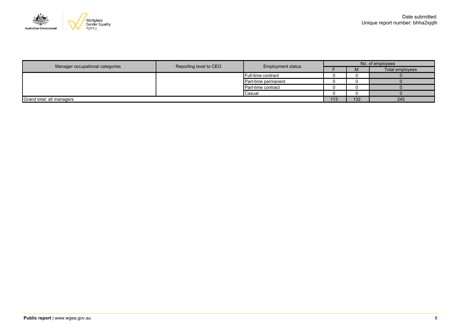

|                                 |                        |                          | No. of employees |     |                 |  |
|---------------------------------|------------------------|--------------------------|------------------|-----|-----------------|--|
| Manager occupational categories | Reporting level to CEO | <b>Employment status</b> |                  | M   | Total employees |  |
|                                 |                        | Full-time contract       |                  |     |                 |  |
|                                 |                        | Part-time permanent      |                  |     |                 |  |
|                                 |                        | Part-time contract       |                  |     |                 |  |
|                                 |                        | Casual                   |                  |     |                 |  |
| Grand total: all managers       |                        |                          |                  | 132 | 245             |  |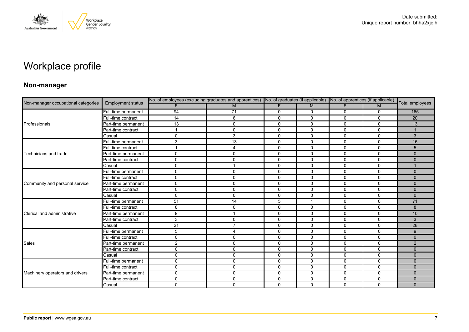

# Workplace profile

### **Non-manager**

| Non-manager occupational categories |                          | No. of employees (excluding graduates and apprentices) No. of graduates (if applicable) No. of apprentices (if applicable) |                         |              |                |              |              |                 |
|-------------------------------------|--------------------------|----------------------------------------------------------------------------------------------------------------------------|-------------------------|--------------|----------------|--------------|--------------|-----------------|
|                                     | <b>Employment status</b> |                                                                                                                            | M                       | F            | M              | F.           | M            | Total employees |
|                                     | Full-time permanent      | 94                                                                                                                         | $\overline{71}$         | 0            | 0              | 0            | $\mathbf 0$  | 165             |
|                                     | Full-time contract       | 14                                                                                                                         | 6                       | $\mathbf 0$  | 0              | 0            | $\mathbf 0$  | 20              |
| Professionals                       | Part-time permanent      | 13                                                                                                                         | $\mathbf 0$             | $\Omega$     | $\Omega$       | $\Omega$     | $\Omega$     | 13              |
|                                     | Part-time contract       |                                                                                                                            | $\mathbf 0$             | $\mathbf 0$  | 0              | 0            | $\mathbf 0$  |                 |
|                                     | Casual                   | $\Omega$                                                                                                                   | 3                       | $\mathbf 0$  | $\mathbf 0$    | 0            | $\mathbf 0$  | 3               |
|                                     | Full-time permanent      | 3                                                                                                                          | 13                      | $\mathbf 0$  | $\mathbf 0$    | $\Omega$     | $\mathbf 0$  | 16              |
|                                     | Full-time contract       |                                                                                                                            | 4                       | 0            | $\mathbf 0$    | 0            | $\mathbf 0$  | 5               |
| Technicians and trade               | Part-time permanent      | $\Omega$                                                                                                                   | $\mathbf 0$             | $\mathbf 0$  | $\mathbf 0$    | 0            | $\mathbf 0$  | $\Omega$        |
|                                     | Part-time contract       | $\Omega$                                                                                                                   | $\mathbf 0$             | $\mathbf 0$  | $\mathbf 0$    | $\Omega$     | $\mathbf 0$  | $\Omega$        |
|                                     | Casual                   | $\mathbf{0}$                                                                                                               | $\overline{\mathbf{1}}$ | $\mathbf 0$  | $\mathbf 0$    | $\mathbf 0$  | $\mathbf 0$  |                 |
|                                     | Full-time permanent      | $\Omega$                                                                                                                   | $\mathbf 0$             | 0            | 0              | $\Omega$     | $\mathbf{0}$ | $\Omega$        |
|                                     | Full-time contract       | $\Omega$                                                                                                                   | $\mathbf 0$             | $\mathbf 0$  | $\Omega$       | $\Omega$     | $\mathbf 0$  | $\Omega$        |
| Community and personal service      | Part-time permanent      | 0                                                                                                                          | $\mathbf 0$             | $\mathbf 0$  | $\mathbf 0$    | $\mathbf 0$  | $\mathbf 0$  | $\mathbf{0}$    |
|                                     | Part-time contract       | $\Omega$                                                                                                                   | $\mathbf 0$             | 0            | 0              | 0            | 0            | $\mathbf{0}$    |
|                                     | Casual                   | $\Omega$                                                                                                                   | $\Omega$                | $\mathbf{0}$ | $\Omega$       | $\Omega$     | $\Omega$     | $\Omega$        |
|                                     | Full-time permanent      | 51                                                                                                                         | 14                      | 5            | $\overline{1}$ | $\mathbf{0}$ | $\mathbf 0$  | 71              |
|                                     | Full-time contract       | 8                                                                                                                          | 0                       | $\mathbf 0$  | 0              | 0            | $\mathbf 0$  | 8               |
| Clerical and administrative         | Part-time permanent      | 9                                                                                                                          |                         | $\mathbf 0$  | $\Omega$       | $\Omega$     | $\mathbf 0$  | 10              |
|                                     | Part-time contract       | 3                                                                                                                          | $\mathbf 0$             | $\mathbf 0$  | $\mathbf 0$    | $\mathbf 0$  | $\mathbf 0$  | 3               |
|                                     | Casual                   | 21                                                                                                                         | $\overline{7}$          | 0            | $\mathbf 0$    | 0            | $\mathbf 0$  | 28              |
|                                     | Full-time permanent      | 5                                                                                                                          | $\overline{4}$          | $\mathbf 0$  | $\Omega$       | 0            | $\Omega$     | 9               |
|                                     | Full-time contract       | $\Omega$                                                                                                                   | $\mathbf 0$             | $\mathbf{0}$ | $\mathbf{0}$   | $\Omega$     | $\Omega$     | $\Omega$        |
| Sales                               | Part-time permanent      | $\overline{2}$                                                                                                             | $\mathbf 0$             | $\mathbf 0$  | $\mathbf 0$    | 0            | 0            | 2               |
|                                     | Part-time contract       | $\Omega$                                                                                                                   | 0                       | $\mathbf 0$  | $\Omega$       | 0            | $\mathbf 0$  | $\Omega$        |
|                                     | Casual                   | $\Omega$                                                                                                                   | $\mathbf 0$             | $\mathbf 0$  | 0              | 0            | $\mathbf 0$  | $\Omega$        |
|                                     | Full-time permanent      | $\mathbf{0}$                                                                                                               | $\mathbf 0$             | $\mathbf 0$  | $\mathbf 0$    | 0            | 0            | $\mathbf{0}$    |
|                                     | Full-time contract       | 0                                                                                                                          | $\mathbf{0}$            | $\mathbf 0$  | $\Omega$       | 0            | $\Omega$     | $\Omega$        |
| Machinery operators and drivers     | Part-time permanent      | $\Omega$                                                                                                                   | $\mathbf 0$             | $\mathbf 0$  | 0              | 0            | $\mathbf 0$  | $\Omega$        |
|                                     | Part-time contract       | $\Omega$                                                                                                                   | $\mathbf 0$             | $\mathbf 0$  | $\mathbf 0$    | $\mathbf 0$  | $\mathbf 0$  | $\mathbf{0}$    |
|                                     | Casual                   | $\Omega$                                                                                                                   | $\mathbf 0$             | $\mathbf 0$  | $\Omega$       | $\Omega$     | $\mathbf 0$  | $\Omega$        |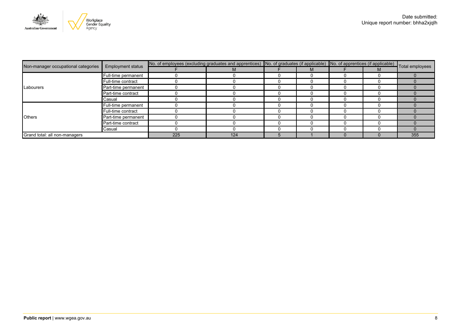

|                                     | <b>Employment status</b> | No. of employees (excluding graduates and apprentices) No. of graduates (if applicable) No. of apprentices (if applicable) Total employees |     |  |  |  |  |     |
|-------------------------------------|--------------------------|--------------------------------------------------------------------------------------------------------------------------------------------|-----|--|--|--|--|-----|
| Non-manager occupational categories |                          |                                                                                                                                            | М   |  |  |  |  |     |
|                                     | Full-time permanent      |                                                                                                                                            |     |  |  |  |  |     |
|                                     | Full-time contract       |                                                                                                                                            |     |  |  |  |  |     |
| Labourers                           | Part-time permanent      |                                                                                                                                            |     |  |  |  |  |     |
|                                     | Part-time contract       |                                                                                                                                            |     |  |  |  |  |     |
|                                     | Casual                   |                                                                                                                                            |     |  |  |  |  |     |
|                                     | Full-time permanent      |                                                                                                                                            |     |  |  |  |  |     |
|                                     | Full-time contract       |                                                                                                                                            |     |  |  |  |  |     |
| <b>Others</b>                       | Part-time permanent      |                                                                                                                                            |     |  |  |  |  |     |
|                                     | Part-time contract       |                                                                                                                                            |     |  |  |  |  |     |
|                                     | Casual                   |                                                                                                                                            |     |  |  |  |  |     |
| Grand total: all non-managers       |                          | 225                                                                                                                                        | 124 |  |  |  |  | 355 |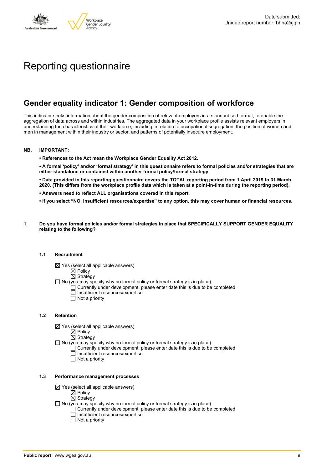

# Reporting questionnaire

### **Gender equality indicator 1: Gender composition of workforce**

This indicator seeks information about the gender composition of relevant employers in a standardised format, to enable the aggregation of data across and within industries. The aggregated data in your workplace profile assists relevant employers in understanding the characteristics of their workforce, including in relation to occupational segregation, the position of women and men in management within their industry or sector, and patterns of potentially insecure employment.

### **NB. IMPORTANT:**

**• References to the Act mean the Workplace Gender Equality Act 2012.**

• A formal 'policy' and/or 'formal strategy' in this questionnaire refers to formal policies and/or strategies that are **either standalone or contained within another formal policy/formal strategy.**

• Data provided in this reporting questionnaire covers the TOTAL reporting period from 1 April 2019 to 31 March 2020. (This differs from the workplace profile data which is taken at a point-in-time during the reporting period).

- **• Answers need to reflect ALL organisations covered in this report.**
- . If you select "NO, Insufficient resources/expertise" to any option, this may cover human or financial resources.
- **1. Do you have formal policies and/or formal strategies in place that SPECIFICALLY SUPPORT GENDER EQUALITY relating to the following?**

### **1.1 Recruitment**

- $\boxtimes$  Yes (select all applicable answers)
	- $\mathbb{\dot{A}}$  Policy
	- $\boxtimes$  Strategy
- No (you may specify why no formal policy or formal strategy is in place)
	- $\Box$  Currently under development, please enter date this is due to be completed
		- $\overline{\Box}$  Insufficient resources/expertise
		- $\Box$  Not a priority

### **1.2 Retention**

- $\boxtimes$  Yes (select all applicable answers)
	- $\boxtimes$  Policy
	- $\boxtimes$  Strategy
- No (you may specify why no formal policy or formal strategy is in place)
	- $\Box$  Currently under development, please enter date this is due to be completed
		- Insufficient resources/expertise
		- Not a priority

#### **1.3 Performance management processes**

- $\boxtimes$  Yes (select all applicable answers)
	- $\boxtimes$  Policy
	- $\boxtimes$  Strategy
- $\Box$  No (you may specify why no formal policy or formal strategy is in place)
	- $\Box$  Currently under development, please enter date this is due to be completed
	- $\Box$  Insufficient resources/expertise
	- $\Box$  Not a priority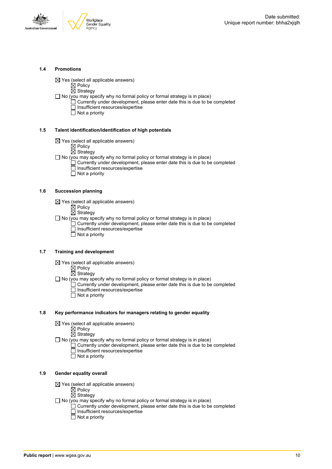



### **1.4 Promotions**

 $\boxtimes$  Yes (select all applicable answers)

 $\boxtimes$  Policy

- $\overline{\boxtimes}$  Strategy
- $\Box$  No (you may specify why no formal policy or formal strategy is in place)
	- $\Box$  Currently under development, please enter date this is due to be completed □ Insufficient resources/expertise
		- $\overline{\Box}$  Not a priority

### **1.5 Talent identification/identification of high potentials**

- $\boxtimes$  Yes (select all applicable answers)
	- $\boxtimes$  Policy
	- $\overline{\boxtimes}$  Strategy
- $\Box$  No (you may specify why no formal policy or formal strategy is in place)
	- Currently under development, please enter date this is due to be completed Insufficient resources/expertise
		- $\overline{\Box}$  Not a priority

### **1.6 Succession planning**

- $\boxtimes$  Yes (select all applicable answers)
	- $\boxtimes$  Policy
	- $\overline{\boxtimes}$  Strategy
- $\Box$  No (you may specify why no formal policy or formal strategy is in place)
	- $\Box$  Currently under development, please enter date this is due to be completed Insufficient resources/expertise
	- Not a priority

### **1.7 Training and development**

- $\boxtimes$  Yes (select all applicable answers)
	- $\mathbb{\dot{Z}}$  Policy
		- $\boxtimes$  Strategy
- $\Box$  No (you may specify why no formal policy or formal strategy is in place)
	- Currently under development, please enter date this is due to be completed Insufficient resources/expertise
		- $\Box$  Not a priority

### **1.8 Key performance indicators for managers relating to gender equality**

- $\boxtimes$  Yes (select all applicable answers)
	- $\boxtimes$  Policy
	- $\boxtimes$  Strategy
- $\Box$  No (you may specify why no formal policy or formal strategy is in place)
	- $\Box$  Currently under development, please enter date this is due to be completed Insufficient resources/expertise
		- Not a priority

### **1.9 Gender equality overall**

- $\boxtimes$  Yes (select all applicable answers)
	- $\mathbb{\dot{A}}$  Policy
	- $\boxtimes$  Strategy
- $\Box$  No (you may specify why no formal policy or formal strategy is in place)
	- $\Box$  Currently under development, please enter date this is due to be completed □ Insufficient resources/expertise
		- $\Box$  Not a priority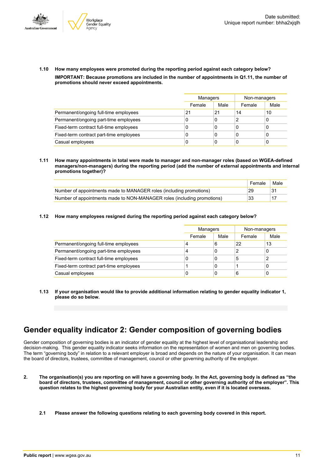



**1.10 How many employees were promoted during the reporting period against each category below? IMPORTANT: Because promotions are included in the number of appointments in Q1.11, the number of promotions should never exceed appointments.**

|                                         |        | Managers |        | Non-managers |
|-----------------------------------------|--------|----------|--------|--------------|
|                                         | Female | Male     | Female | Male         |
| Permanent/ongoing full-time employees   | 21     | 21       | 14     | 10           |
| Permanent/ongoing part-time employees   | 0      | 0        |        | 0            |
| Fixed-term contract full-time employees | 0      | 0        | 0      | U            |
| Fixed-term contract part-time employees | 0      | 0        | 0      |              |
| Casual employees                        | 0      | 0        | C      |              |

**1.11 How many appointments in total were made to manager and non-manager roles (based on WGEA-defined managers/non-managers) during the reporting period (add the number of external appointments and internal promotions together)?**

|                                                                         | Female | Male |
|-------------------------------------------------------------------------|--------|------|
| Number of appointments made to MANAGER roles (including promotions)     | 29     |      |
| Number of appointments made to NON-MANAGER roles (including promotions) | 33     |      |

**1.12 How many employees resigned during the reporting period against each category below?**

|                                         | Managers |      | Non-managers |      |  |
|-----------------------------------------|----------|------|--------------|------|--|
|                                         | Female   | Male | Female       | Male |  |
| Permanent/ongoing full-time employees   | 4        | 6    | 22           | 13   |  |
| Permanent/ongoing part-time employees   | 4        | 0    | 2            | 0    |  |
| Fixed-term contract full-time employees | C        | 0    | 5            | າ    |  |
| Fixed-term contract part-time employees |          | 0    |              | 0    |  |
| Casual employees                        | C        | 0    | 6            | 0    |  |

**1.13 If your organisation would like to provide additional information relating to gender equality indicator 1, please do so below.**

### **Gender equality indicator 2: Gender composition of governing bodies**

Gender composition of governing bodies is an indicator of gender equality at the highest level of organisational leadership and decision-making. This gender equality indicator seeks information on the representation of women and men on governing bodies. The term "governing body" in relation to a relevant employer is broad and depends on the nature of your organisation. It can mean the board of directors, trustees, committee of management, council or other governing authority of the employer.

- 2. The organisation(s) you are reporting on will have a governing body. In the Act, governing body is defined as "the board of directors, trustees, committee of management, council or other governing authority of the employer". This question relates to the highest governing body for your Australian entity, even if it is located overseas.
	- **2.1 Please answer the following questions relating to each governing body covered in this report.**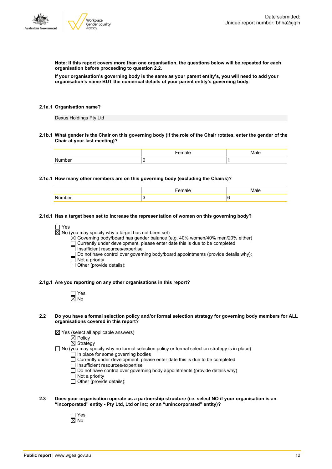

**Note: If this report covers more than one organisation, the questions below will be repeated for each organisation before proceeding to question 2.2.**

If your organisation's governing body is the same as your parent entity's, you will need to add your **organisation's name BUT the numerical details of your parent entity's governing body.**

### **2.1a.1 Organisation name?**

Dexus Holdings Pty Ltd

2.1b.1 What gender is the Chair on this governing body (if the role of the Chair rotates, enter the gender of the **Chair at your last meeting)?**

### **2.1c.1 How many other members are on this governing body (excluding the Chair/s)?**

|        | emale |   |
|--------|-------|---|
| Number |       | 6 |

### **2.1d.1 Has a target been set to increase the representation of women on this governing body?**

```
\Box Yes
```
 $\boxtimes$  No (you may specify why a target has not been set)

 $\overleftrightarrow{\boxtimes}$  Governing body/board has gender balance (e.g. 40% women/40% men/20% either)

Currently under development, please enter date this is due to be completed

 $\overline{\Box}$  Insufficient resources/expertise

 $\square$  Do not have control over governing body/board appointments (provide details why):

- $\Box$  Not a priority
- Other (provide details):

#### **2.1g.1 Are you reporting on any other organisations in this report?**

Yes No

- 2.2 Do you have a formal selection policy and/or formal selection strategy for governing body members for ALL **organisations covered in this report?**
	- $\boxtimes$  Yes (select all applicable answers)

 $\overline{\boxtimes}$  Policy

 $\boxtimes$  Strategy

 $\Box$  No (you may specify why no formal selection policy or formal selection strategy is in place)

- In place for some governing bodies
- Currently under development, please enter date this is due to be completed
- Insufficient resources/expertise
- $\Box$  Do not have control over governing body appointments (provide details why)
- $\overline{\Box}$  Not a priority
- $\Box$  Other (provide details):
- **2.3 Does your organisation operate as a partnership structure (i.e. select NO if your organisation is an "incorporated" entity - Pty Ltd, Ltd or Inc; or an "unincorporated" entity)?**
	- Yes  $\overline{\boxtimes}$  No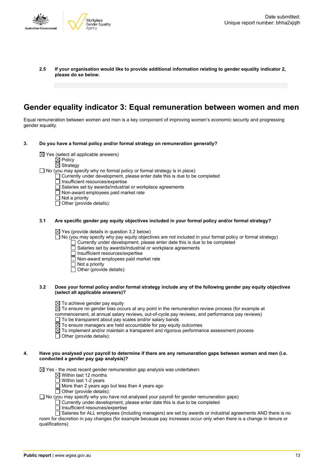

**2.5 If your organisation would like to provide additional information relating to gender equality indicator 2, please do so below.**

### **Gender equality indicator 3: Equal remuneration between women and men**

Equal remuneration between women and men is a key component of improving women's economic security and progressing gender equality.

- **3. Do you have a formal policy and/or formal strategy on remuneration generally?**
	- $\boxtimes$  Yes (select all applicable answers)
		- $\mathbb{\dot{Z}}$  Policy
		-
		- $\boxtimes$  Strategy
	- $\Box$  No (you may specify why no formal policy or formal strategy is in place)
		- $\Box$  Currently under development, please enter date this is due to be completed
		- Insufficient resources/expertise
		- Salaries set by awards/industrial or workplace agreements
		- $\Box$  Non-award employees paid market rate
		- $\Box$  Not a priority
		- $\Box$  Other (provide details):

#### **3.1 Are specific gender pay equity objectives included in your formal policy and/or formal strategy?**

 $\boxtimes$  Yes (provide details in question 3.2 below)

 $\Box$  No (you may specify why pay equity objectives are not included in your formal policy or formal strategy)

- $\Box$  Currently under development, please enter date this is due to be completed
- Salaries set by awards/industrial or workplace agreements
- □ Insufficient resources/expertise<br>□ Non-award employees paid ma
- $\overline{\Box}$  Non-award employees paid market rate
- $\Box$  Not a priority
- $\Box$  Other (provide details):

### 3.2 Does your formal policy and/or formal strategy include any of the following gender pay equity objectives **(select all applicable answers)?**

- $\boxtimes$  To achieve gender pay equity
- $\overline{\boxtimes}$  To ensure no gender bias occurs at any point in the remuneration review process (for example at
- commencement, at annual salary reviews, out-of-cycle pay reviews, and performance pay reviews)
- $\Box$  To be transparent about pay scales and/or salary bands
- $\overline{\boxtimes}$  To ensure managers are held accountable for pay equity outcomes
- $\boxtimes$  To implement and/or maintain a transparent and rigorous performance assessment process
- $\Box$  Other (provide details):

### 4. Have you analysed your payroll to determine if there are any remuneration gaps between women and men (i.e. **conducted a gender pay gap analysis)?**

 $\boxtimes$  Yes - the most recent gender remuneration gap analysis was undertaken:

- $\boxtimes$  Within last 12 months
- $\overline{\Box}$  Within last 1-2 years
- $\Box$  More than 2 years ago but less than 4 years ago
- $\Box$  Other (provide details):

 $\Box$  No (you may specify why you have not analysed your payroll for gender remuneration gaps)

- $\Box$  Currently under development, please enter date this is due to be completed
- $\Box$  Insufficient resources/expertise

 $\Box$  Salaries for ALL employees (including managers) are set by awards or industrial agreements AND there is no room for discretion in pay changes (for example because pay increases occur only when there is a change in tenure or qualifications)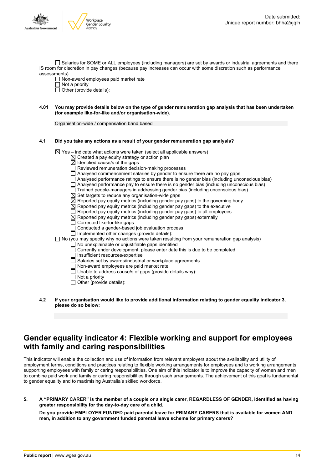

Salaries for SOME or ALL employees (including managers) are set by awards or industrial agreements and there IS room for discretion in pay changes (because pay increases can occur with some discretion such as performance assessments)

Non-award employees paid market rate

 $\Box$  Not a priority

- $\Box$  Other (provide details):
- 4.01 You may provide details below on the type of gender remuneration gap analysis that has been undertaken **(for example like-for-like and/or organisation-wide).**

Organisation-wide / compensation band based

### **4.1 Did you take any actions as a result of your gender remuneration gap analysis?**

 $\boxtimes$  Yes – indicate what actions were taken (select all applicable answers)

- $\boxtimes$  Created a pay equity strategy or action plan
	- Identified cause/s of the gaps
- Reviewed remuneration decision-making processes
- $\Box$  Analysed commencement salaries by gender to ensure there are no pay gaps
- Analysed performance ratings to ensure there is no gender bias (including unconscious bias)
- Analysed performance pay to ensure there is no gender bias (including unconscious bias)
- Trained people-managers in addressing gender bias (including unconscious bias)
- $\boxtimes$  Set targets to reduce any organisation-wide gaps
- $\overline{\boxtimes}$  Reported pay equity metrics (including gender pay gaps) to the governing body
- $\boxtimes$  Reported pay equity metrics (including gender pay gaps) to the executive
- $\overline{\Box}$  Reported pay equity metrics (including gender pay gaps) to all employees
- $\boxtimes$  Reported pay equity metrics (including gender pay gaps) externally
- Corrected like-for-like gaps
- Conducted a gender-based job evaluation process
- $\Box$  Implemented other changes (provide details):
- $\square$  No (you may specify why no actions were taken resulting from your remuneration gap analysis)
	- No unexplainable or unjustifiable gaps identified
	- Currently under development, please enter date this is due to be completed
	- $\overline{\Box}$  Insufficient resources/expertise
	- $\Box$  Salaries set by awards/industrial or workplace agreements
	- Non-award employees are paid market rate
	- Unable to address cause/s of gaps (provide details why):
	- $\overline{\Box}$  Not a priority
	- $\Box$  Other (provide details):
- **4.2 If your organisation would like to provide additional information relating to gender equality indicator 3, please do so below:**

### **Gender equality indicator 4: Flexible working and support for employees with family and caring responsibilities**

This indicator will enable the collection and use of information from relevant employers about the availability and utility of employment terms, conditions and practices relating to flexible working arrangements for employees and to working arrangements supporting employees with family or caring responsibilities. One aim of this indicator is to improve the capacity of women and men to combine paid work and family or caring responsibilities through such arrangements. The achievement of this goal is fundamental to gender equality and to maximising Australia's skilled workforce.

5. A "PRIMARY CARER" is the member of a couple or a single carer, REGARDLESS OF GENDER, identified as having **greater responsibility for the day-to-day care of a child.**

**Do you provide EMPLOYER FUNDED paid parental leave for PRIMARY CARERS that is available for women AND men, in addition to any government funded parental leave scheme for primary carers?**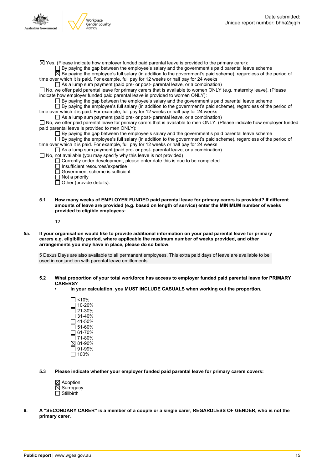

- $\boxtimes$  Yes. (Please indicate how employer funded paid parental leave is provided to the primary carer):
	- $\Box$  By paying the gap between the employee's salary and the government's paid parental leave scheme

 $\overline{\boxtimes}$  By paying the employee's full salary (in addition to the government's paid scheme), regardless of the period of time over which it is paid. For example, full pay for 12 weeks or half pay for 24 weeks

As a lump sum payment (paid pre- or post- parental leave, or a combination)

No, we offer paid parental leave for primary carers that is available to women ONLY (e.g. maternity leave). (Please indicate how employer funded paid parental leave is provided to women ONLY):

By paying the gap between the employee's salary and the government's paid parental leave scheme

By paying the employee's full salary (in addition to the government's paid scheme), regardless of the period of time over which it is paid. For example, full pay for 12 weeks or half pay for 24 weeks

 $\Box$  As a lump sum payment (paid pre- or post- parental leave, or a combination)

□ No, we offer paid parental leave for primary carers that is available to men ONLY. (Please indicate how employer funded paid parental leave is provided to men ONLY):

 $\square$  By paying the gap between the employee's salary and the government's paid parental leave scheme

 $\Box$  By paying the employee's full salary (in addition to the government's paid scheme), regardless of the period of time over which it is paid. For example, full pay for 12 weeks or half pay for 24 weeks

- $\Box$  As a lump sum payment (paid pre- or post- parental leave, or a combination)
- $\Box$  No, not available (you may specify why this leave is not provided)
	- $\Box$  Currently under development, please enter date this is due to be completed
		- Insufficient resources/expertise
		- Government scheme is sufficient
	- $\overline{\Box}$  Not a priority
	- $\Box$  Other (provide details):
- **5.1 How many weeks of EMPLOYER FUNDED paid parental leave for primary carers is provided? If different amounts of leave are provided (e.g. based on length of service) enter the MINIMUM number of weeks provided to eligible employees:**

12

5a. If your organisation would like to provide additional information on your paid parental leave for primary **carers e.g. eligibility period, where applicable the maximum number of weeks provided, and other arrangements you may have in place, please do so below.**

5 Dexus Days are also available to all permanent employees. This extra paid days of leave are available to be used in conjunction with parental leave entitlements.

- **5.2 What proportion of your total workforce has access to employer funded paid parental leave for PRIMARY CARERS?**
	- **• In your calculation, you MUST INCLUDE CASUALS when working out the proportion.**
		- $\Box$  <10%  $\overline{\Box}$  10-20%  $\square$  21-30% 31-40% 41-50%  $\Box$  51-60%  $\Box$  61-70%  $\Box$  71-80% 81-90%  $\overline{\square}$  91-99%  $\Box$  100%

**5.3 Please indicate whether your employer funded paid parental leave for primary carers covers:**

- $\boxtimes$  Adoption  $\overline{\boxtimes}$  Surrogacy
- $\Box$  Stillbirth
- 6. A "SECONDARY CARER" is a member of a couple or a single carer, REGARDLESS OF GENDER, who is not the **primary carer.**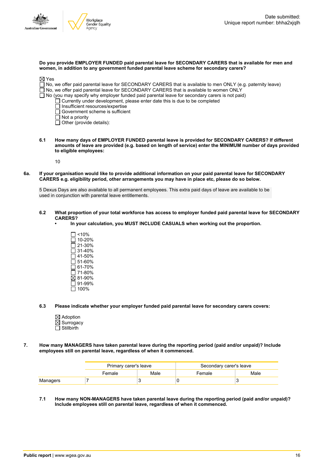

| Do you provide EMPLOYER FUNDED paid parental leave for SECONDARY CARERS that is available for men and |  |
|-------------------------------------------------------------------------------------------------------|--|
| women, in addition to any government funded parental leave scheme for secondary carers?               |  |

| $\boxtimes$ Yes |                                                                                                              |
|-----------------|--------------------------------------------------------------------------------------------------------------|
|                 | □ No, we offer paid parental leave for SECONDARY CARERS that is available to men ONLY (e.g. paternity leave) |
|                 | $\Box$ No, we offer paid parental leave for SECONDARY CARERS that is available to women ONLY                 |
|                 | $\Box$ No (you may specify why employer funded paid parental leave for secondary carers is not paid)         |
|                 | $\Box$ Currently under development, please enter date this is due to be completed                            |
|                 | $\Box$ Insufficient resources/expertise                                                                      |
|                 | $\Box$ Government scheme is sufficient                                                                       |
|                 | $\Box$ Not a priority                                                                                        |
|                 | $\Box$ Other (provide details):                                                                              |
|                 |                                                                                                              |
|                 |                                                                                                              |

**6.1 How many days of EMPLOYER FUNDED parental leave is provided for SECONDARY CARERS? If different** amounts of leave are provided (e.g. based on length of service) enter the MINIMUM number of days provided **to eligible employees:**

10

6a. If your organisation would like to provide additional information on your paid parental leave for SECONDARY **CARERS e.g. eligibility period, other arrangements you may have in place etc, please do so below.**

5 Dexus Days are also available to all permanent employees. This extra paid days of leave are available to be used in conjunction with parental leave entitlements.

- 6.2 What proportion of your total workforce has access to employer funded paid parental leave for SECONDARY **CARERS?**
	- **• In your calculation, you MUST INCLUDE CASUALS when working out the proportion.**
		- $\Box$  <10%  $\overline{\Box}$  10-20%  $\square$  21-30% 31-40% 41-50%  $\bar{5}1-60%$  $\square$  61-70%  $\Box$  71-80% 81-90%  $\overline{\Box}$  91-99%  $\square$  100%
- **6.3 Please indicate whether your employer funded paid parental leave for secondary carers covers:**
	- $\boxtimes$  Adoption  $\overline{\boxtimes}$  Surrogacy  $\overline{\Pi}$  Stillbirth
- **7. How many MANAGERS have taken parental leave during the reporting period (paid and/or unpaid)? Include employees still on parental leave, regardless of when it commenced.**

|          | Primary carer's leave |      | Secondary carer's leave |      |  |
|----------|-----------------------|------|-------------------------|------|--|
|          | Female                | Male | Female                  | Male |  |
| Managers |                       |      |                         |      |  |

**7.1 How many NON-MANAGERS have taken parental leave during the reporting period (paid and/or unpaid)? Include employees still on parental leave, regardless of when it commenced.**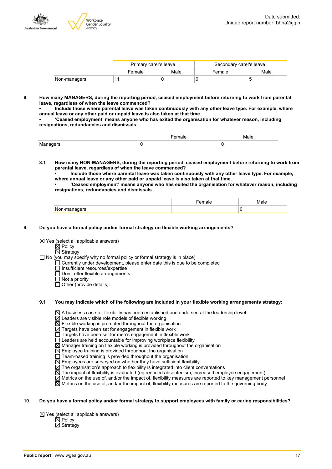

|              | Primary carer's leave |      | Secondary carer's leave |      |
|--------------|-----------------------|------|-------------------------|------|
|              | Female                | Male | Female                  | Male |
| Non-managers |                       |      |                         |      |

**8. How many MANAGERS, during the reporting period, ceased employment before returning to work from parental leave, regardless of when the leave commenced?**

**• Include those where parental leave was taken continuously with any other leave type. For example, where annual leave or any other paid or unpaid leave is also taken at that time.**

**• 'Ceased employment' means anyone who has exited the organisation for whatever reason, including resignations, redundancies and dismissals.**

- **8.1 How many NON-MANAGERS, during the reporting period, ceased employment before returning to work from parental leave, regardless of when the leave commenced?**
	- **• Include those where parental leave was taken continuously with any other leave type. For example, where annual leave or any other paid or unpaid leave is also taken at that time.**

**• 'Ceased employment' means anyone who has exited the organisation for whatever reason, including resignations, redundancies and dismissals.**

### **9. Do you have a formal policy and/or formal strategy on flexible working arrangements?**

 $\boxtimes$  Yes (select all applicable answers)

 $\boxtimes$  Policy  $\overline{\boxtimes}$  Strategy

 $\Box$  No (you may specify why no formal policy or formal strategy is in place)

- Currently under development, please enter date this is due to be completed
- Insufficient resources/expertise
- $\overline{\Box}$  Don't offer flexible arrangements
- $\Box$  Not a priority
- $\Box$  Other (provide details):

### **9.1 You may indicate which of the following are included in your flexible working arrangements strategy:**

 $\boxtimes$  A business case for flexibility has been established and endorsed at the leadership level

- $\boxtimes$  Leaders are visible role models of flexible working
- $\boxtimes$  Flexible working is promoted throughout the organisation
- $\overline{\boxtimes}$  Targets have been set for engagement in flexible work
- Targets have been set for men's engagement in flexible work
- Leaders are held accountable for improving workplace flexibility
- $\overline{\boxtimes}$  Manager training on flexible working is provided throughout the organisation
- $\overline{\boxtimes}$  Employee training is provided throughout the organisation
- $\Box$  Team-based training is provided throughout the organisation
- $\overline{\boxtimes}$  Employees are surveyed on whether they have sufficient flexibility
- $\boxtimes$  The organisation's approach to flexibility is integrated into client conversations
- $\boxtimes$  The impact of flexibility is evaluated (eg reduced absenteeism, increased employee engagement)
- $\boxtimes$  Metrics on the use of, and/or the impact of, flexibility measures are reported to key management personnel
- $\overline{\boxtimes}$  Metrics on the use of, and/or the impact of, flexibility measures are reported to the governing body

### 10. Do you have a formal policy and/or formal strategy to support employees with family or caring responsibilities?

 $\boxtimes$  Yes (select all applicable answers)

Policy **Strategy**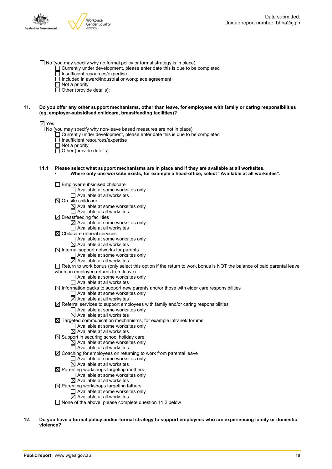- $\Box$  No (you may specify why no formal policy or formal strategy is in place)
	- $\Box$  Currently under development, please enter date this is due to be completed
	- $\overline{\Box}$  Insufficient resources/expertise
	- $\Box$  Included in award/industrial or workplace agreement
	- $\Box$  Not a priority
	- $\Box$  Other (provide details):

### 11. Do you offer any other support mechanisms, other than leave, for employees with family or caring responsibilities **(eg, employer-subsidised childcare, breastfeeding facilities)?**

### ⊠ Yes

 $\Box$  No (you may specify why non-leave based measures are not in place)

- Currently under development, please enter date this is due to be completed
- Insufficient resources/expertise
- $\overline{\Box}$  Not a priority
- $\overline{\Box}$  Other (provide details):
- **11.1 Please select what support mechanisms are in place and if they are available at all worksites. • Where only one worksite exists, for example a head-office, select "Available at all worksites".**

 $\Box$  Employer subsidised childcare

- □ Available at some worksites only  $\Box$  Available at all worksites  $\boxtimes$  On-site childcare  $\boxtimes$  Available at some worksites only  $\Box$  Available at all worksites  $\boxtimes$  Breastfeeding facilities  $\boxtimes$  Available at some worksites only
	- □ Available at all worksites
- $\boxtimes$  Childcare referral services
	- □ Available at some worksites only
	- $\boxtimes$  Available at all worksites
- $\boxtimes$  Internal support networks for parents
	- $\Box$  Available at some worksites only
	- $\overline{\boxtimes}$  Available at all worksites
- $\Box$  Return to work bonus (only select this option if the return to work bonus is NOT the balance of paid parental leave when an employee returns from leave)
	- Available at some worksites only
	- $\Box$  Available at all worksites
- $\boxtimes$  Information packs to support new parents and/or those with elder care responsibilities
	- $\Box$  Available at some worksites only
	- $\overline{\boxtimes}$  Available at all worksites
- $\boxtimes$  Referral services to support employees with family and/or caring responsibilities  $\Box$  Available at some worksites only
	- $\overline{\boxtimes}$  Available at all worksites
- $\boxtimes$  Targeted communication mechanisms, for example intranet/ forums
	- $\Box$  Available at some worksites only
	- $\overline{\boxtimes}$  Available at all worksites
- $\boxtimes$  Support in securing school holiday care
	- $\boxtimes$  Available at some worksites only
		- □ Available at all worksites
- $\boxtimes$  Coaching for employees on returning to work from parental leave Available at some worksites only
	- $\boxtimes$  Available at all worksites
- $\boxtimes$  Parenting workshops targeting mothers
	- Available at some worksites only
	- $\overline{\boxtimes}$  Available at all worksites
- $\boxtimes$  Parenting workshops targeting fathers Available at some worksites only
	- $\boxtimes$  Available at all worksites
- $\Box$  None of the above, please complete question 11.2 below
- 12. Do you have a formal policy and/or formal strategy to support employees who are experiencing family or domestic **violence?**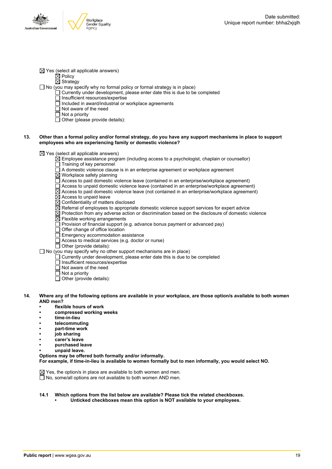

 $\boxtimes$  Yes (select all applicable answers)

 $\boxtimes$  Policy

 $\overline{\boxtimes}$  Strategy

- $\Box$  No (you may specify why no formal policy or formal strategy is in place)
	- $\Box$  Currently under development, please enter date this is due to be completed
		- □ Insufficient resources/expertise
		- $\overline{\Box}$  Included in award/industrial or workplace agreements
		- Not aware of the need
		- $\overline{\Box}$  Not a priority
		- $\Box$  Other (please provide details):

### 13. Other than a formal policy and/or formal strategy, do you have any support mechanisms in place to support **employees who are experiencing family or domestic violence?**

 $\boxtimes$  Yes (select all applicable answers)

- $\overline{\boxtimes}$  Employee assistance program (including access to a psychologist, chaplain or counsellor)
- $\Box$  Training of key personnel
- $\Box$  A domestic violence clause is in an enterprise agreement or workplace agreement
- $\overline{\boxtimes}$  Workplace safety planning
- $\Box$  Access to paid domestic violence leave (contained in an enterprise/workplace agreement)
- Access to unpaid domestic violence leave (contained in an enterprise/workplace agreement)
- $\boxtimes$  Access to paid domestic violence leave (not contained in an enterprise/workplace agreement)
- $\boxtimes$  Access to unpaid leave
- $\overline{\boxtimes}$  Confidentiality of matters disclosed
- $\boxtimes$  Referral of employees to appropriate domestic violence support services for expert advice
- $\boxtimes$  Protection from any adverse action or discrimination based on the disclosure of domestic violence
- $\boxtimes$  Flexible working arrangements
- $\Box$  Provision of financial support (e.g. advance bonus payment or advanced pay)
- $\Box$  Offer change of office location
- Emergency accommodation assistance
- Access to medical services (e.g. doctor or nurse)
- $\overline{\Box}$  Other (provide details):

 $\Box$  No (you may specify why no other support mechanisms are in place)

- Currently under development, please enter date this is due to be completed
- Insufficient resources/expertise
- $\overline{\Box}$  Not aware of the need
- $\Box$  Not a priority
- $\overline{\Box}$  Other (provide details):
- 14. Where any of the following options are available in your workplace, are those option/s available to both women **AND men?**
	- **• flexible hours of work**
	- **• compressed working weeks**
	- **• time-in-lieu**
	- **• telecommuting**
	- **• part-time work**
	- **• job sharing**
	- **• carer's leave**
	- **• purchased leave**
	- **• unpaid leave.**
	- **Options may be offered both formally and/or informally.**

**For example, if time-in-lieu is available to women formally but to men informally, you would select NO.**

 $\boxtimes$  Yes, the option/s in place are available to both women and men.  $\Box$  No, some/all options are not available to both women AND men.

- **14.1 Which options from the list below are available? Please tick the related checkboxes.**
	- **• Unticked checkboxes mean this option is NOT available to your employees.**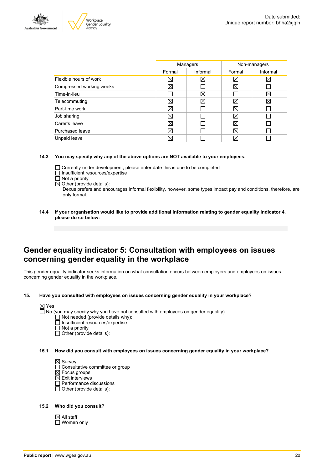



| Managers    |          | Non-managers |             |
|-------------|----------|--------------|-------------|
| Formal      | Informal | Formal       | Informal    |
| X           | X        | $\boxtimes$  | $\boxtimes$ |
| $\boxtimes$ |          | $\boxtimes$  |             |
|             | ⊠        |              | X           |
| ⊠           | X        | $\boxtimes$  | $\boxtimes$ |
| ⊠           |          | $\boxtimes$  |             |
| ⊠           |          | X            |             |
| ⊠           |          | $\boxtimes$  |             |
| ⊠           |          | $\boxtimes$  |             |
| ⊠           |          | X            |             |
|             |          |              |             |

### **14.3 You may specify why any of the above options are NOT available to your employees.**

- Currently under development, please enter date this is due to be completed
- $\Box$  Insufficient resources/expertise
- $\overline{\Box}$  Not a priority
- $\boxtimes$  Other (provide details):

Dexus prefers and encourages informal flexibility, however, some types impact pay and conditions, therefore, are only formal.

**14.4 If your organisation would like to provide additional information relating to gender equality indicator 4, please do so below:**

### **Gender equality indicator 5: Consultation with employees on issues concerning gender equality in the workplace**

This gender equality indicator seeks information on what consultation occurs between employers and employees on issues concerning gender equality in the workplace.

**15. Have you consulted with employees on issues concerning gender equality in your workplace?**



- Insufficient resources/expertise
- Not a priority
- $\Box$  Other (provide details):
- **15.1 How did you consult with employees on issues concerning gender equality in your workplace?**

 $\boxtimes$  Survey

- □ Consultative committee or group
- $\boxtimes$  Focus groups
- $\boxtimes$  Exit interviews
- $\overline{\Box}$  Performance discussions
- $\Box$  Other (provide details):

### **15.2 Who did you consult?**

 $\boxtimes$  All staff □ Women only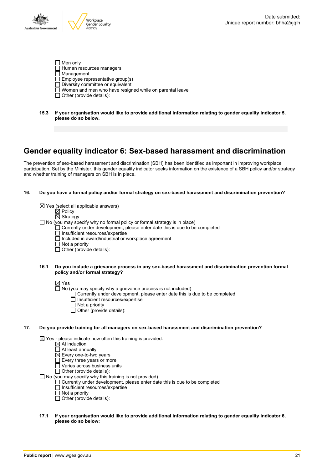

- $\Box$  Men only  $\Box$  Human resources managers  $\overline{\Box}$  Management  $\Box$  Employee representative group(s)  $\Box$  Diversity committee or equivalent Women and men who have resigned while on parental leave  $\Box$  Other (provide details):
- **15.3 If your organisation would like to provide additional information relating to gender equality indicator 5, please do so below.**

### **Gender equality indicator 6: Sex-based harassment and discrimination**

The prevention of sex-based harassment and discrimination (SBH) has been identified as important in improving workplace participation. Set by the Minister, this gender equality indicator seeks information on the existence of a SBH policy and/or strategy and whether training of managers on SBH is in place.

### **16. Do you have a formal policy and/or formal strategy on sex-based harassment and discrimination prevention?**

 $\boxtimes$  Yes (select all applicable answers)  $\overline{\boxtimes}$  Policy  $\overline{\boxtimes}$  Strategy  $\Box$  No (you may specify why no formal policy or formal strategy is in place)  $\Box$  Currently under development, please enter date this is due to be completed  $\Box$  Insufficient resources/expertise □ Included in award/industrial or workplace agreement  $\overline{\Box}$  Not a priority  $\Box$  Other (provide details):

### **16.1 Do you include a grievance process in any sex-based harassment and discrimination prevention formal policy and/or formal strategy?**

 $\boxtimes$  Yes

- $\Box$  No (you may specify why a grievance process is not included)
	- Currently under development, please enter date this is due to be completed
	- Insufficient resources/expertise
	- $\Box$  Not a priority
	- $\Box$  Other (provide details):

### **17. Do you provide training for all managers on sex-based harassment and discrimination prevention?**

 $\boxtimes$  Yes - please indicate how often this training is provided:

- At induction
- At least annually
- $\boxtimes$  Every one-to-two years
- $\square$  Every three years or more
- $\Box$  Varies across business units

 $\overline{\Box}$  Other (provide details):

 $\Box$  No (you may specify why this training is not provided)

- Currently under development, please enter date this is due to be completed
- Insufficient resources/expertise
- $\overline{\Pi}$  Not a priority
- $\Box$  Other (provide details):

### **17.1 If your organisation would like to provide additional information relating to gender equality indicator 6, please do so below:**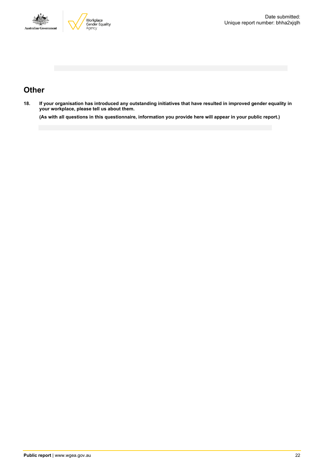



### **Other**

18. If your organisation has introduced any outstanding initiatives that have resulted in improved gender equality in **your workplace, please tell us about them.**

(As with all questions in this questionnaire, information you provide here will appear in your public report.)